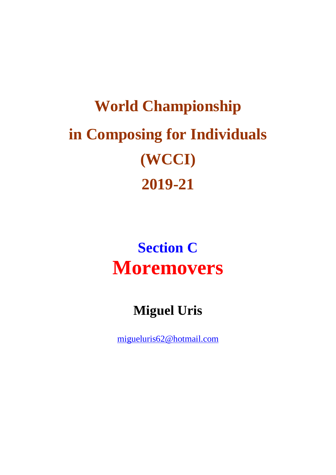# **World Championship** in Composing for Individuals (WCCI) 2019-21

## **Section C Moremovers**

### **Miguel Uris**

migueluris62@hotmail.com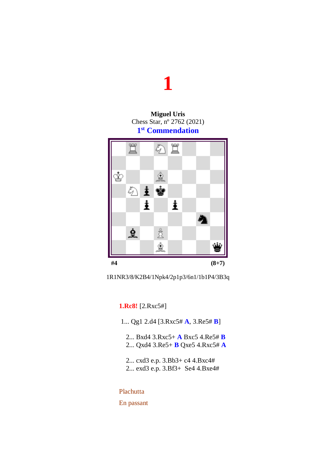### **Miguel Uris** Chess Star, nº 2762 (2021) **1 st Commendation**





**1.Rc8!** [2.Rxc5#]

- 1... Qg1 2.d4 [3.Rxc5# **A**, 3.Re5# **B**]
	- 2... Bxd4 3.Rxc5+ **A** Bxc5 4.Re5# **B**
	- 2... Qxd4 3.Re5+ **B** Qxe5 4.Rxc5# **A**
	- 2... cxd3 e.p. 3.Bb3+ c4 4.Bxc4# 2... exd3 e.p. 3.Bf3+ Se4 4.Bxe4#

#### Plachutta

En passant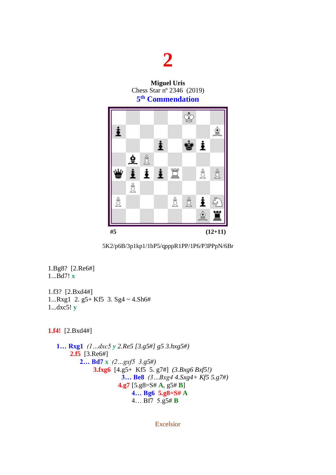**Miguel Uris** Chess Star nº 2346 (2019) **5 th Commendation**



5K2/p6B/3p1kp1/1bP5/qpppR1PP/1P6/P3PPpN/6Br

1.Bg8? [2.Re6#] 1...Bd7! **x** 1.f3? [2.Bxd4#] 1...Rxg1 2. g5+ Kf5 3. Sg4 ~ 4.Sh6# 1...dxc5! **y 1.f4!** [2.Bxd4#]

 **1… Rxg1** *(1…dxc5 y 2.Re5 [3.g5#] g5 3.hxg5#)*  **2.f5** [3.Re6#] **2… Bd7 x** *(2…gxf5 3.g5#)* **3.fxg6** [4.g5+ Kf5 5. g7#] *(3.Bxg6 Bxf5!)* **3… Be8** *(3…Bxg4 4.Sxg4+ Kf5 5.g7#)* **4.g7** [5.g8=S# **A**, g5# **B**]  **4… Bg6 5.g8=S# A** 4… Bf7 5.g5# **B**

Excelsior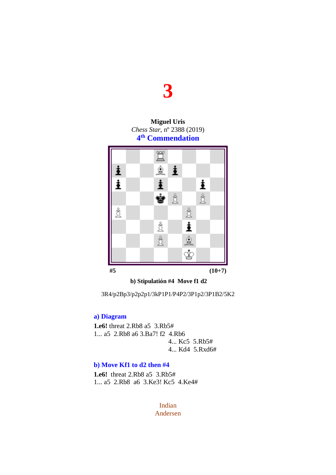### **Miguel Uris** *Chess Star*, nº 2388 (2019) **4 th Commendation**



**b) Stipulatión #4 Move f1 d2**

3R4/p2Bp3/p2p2p1/3kP1P1/P4P2/3P1p2/3P1B2/5K2

#### **a) Diagram**

**1.e6!** threat 2.Rb8 a5 3.Rb5# 1... a5 2.Rb8 a6 3.Ba7! f2 4.Rb6 4... Kc5 5.Rb5# 4... Kd4 5.Rxd6#

#### **b) Move Kf1 to d2 then #4**

**1.e6!** threat 2.Rb8 a5 3.Rb5# 1... a5 2.Rb8 a6 3.Ke3! Kc5 4.Ke4#

> Indian Andersen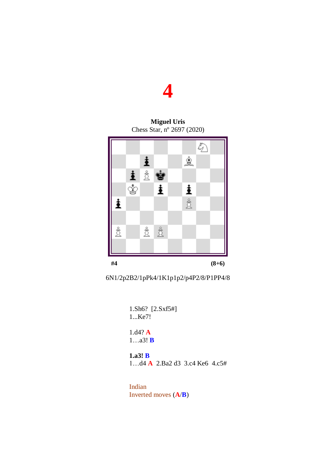**Miguel Uris** Chess Star, nº 2697 (2020)





1.Sh6? [2.Sxf5#] 1...Ke7! 1.d4? **A** 1…a3! **B**

**1.a3! B** 1…d4 **A** 2.Ba2 d3 3.c4 Ke6 4.c5#

Indian Inverted moves (**A**/**B**)